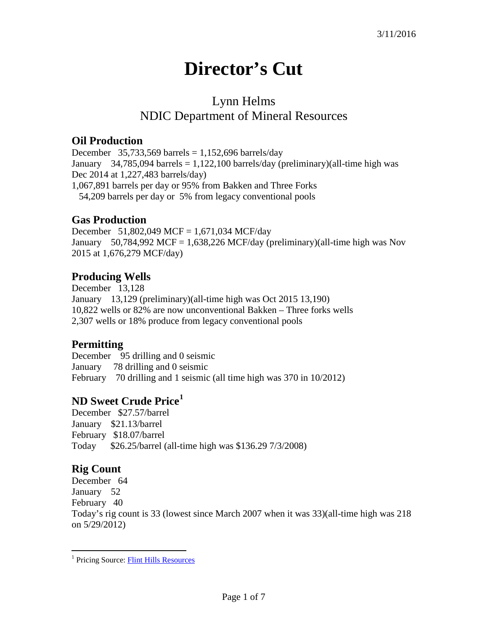# **Director's Cut**

## Lynn Helms NDIC Department of Mineral Resources

#### **Oil Production**

December 35,733,569 barrels =  $1,152,696$  barrels/day January 34,785,094 barrels = 1,122,100 barrels/day (preliminary)(all-time high was Dec 2014 at 1,227,483 barrels/day) 1,067,891 barrels per day or 95% from Bakken and Three Forks 54,209 barrels per day or 5% from legacy conventional pools

#### **Gas Production**

December 51,802,049 MCF = 1,671,034 MCF/day January 50,784,992 MCF = 1,638,226 MCF/day (preliminary)(all-time high was Nov 2015 at 1,676,279 MCF/day)

#### **Producing Wells**

December 13,128 January 13,129 (preliminary)(all-time high was Oct 2015 13,190) 10,822 wells or 82% are now unconventional Bakken – Three forks wells 2,307 wells or 18% produce from legacy conventional pools

#### **Permitting**

December 95 drilling and 0 seismic January 78 drilling and 0 seismic February 70 drilling and 1 seismic (all time high was 370 in 10/2012)

### **ND Sweet Crude Price[1](#page-0-0)**

December \$27.57/barrel January \$21.13/barrel February \$18.07/barrel Today \$26.25/barrel (all-time high was \$136.29 7/3/2008)

## **Rig Count**

December 64 January 52 February 40 Today's rig count is 33 (lowest since March 2007 when it was 33)(all-time high was 218 on 5/29/2012)

<span id="page-0-0"></span><sup>&</sup>lt;sup>1</sup> Pricing Source: **Flint Hills Resources**  $\overline{a}$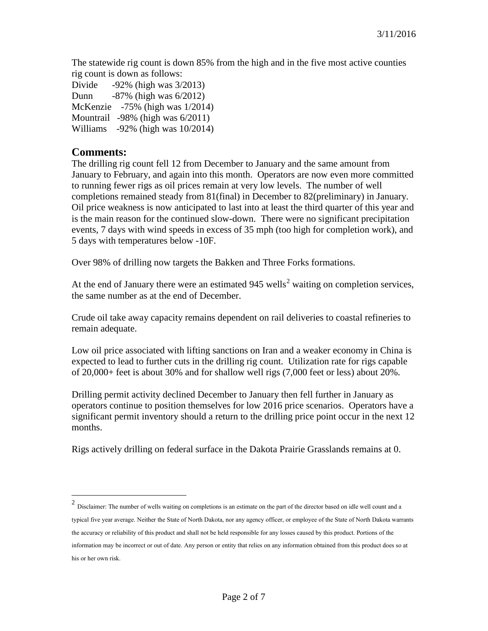The statewide rig count is down 85% from the high and in the five most active counties rig count is down as follows:

Divide -92% (high was 3/2013) Dunn -87% (high was 6/2012) McKenzie -75% (high was 1/2014) Mountrail -98% (high was 6/2011) Williams -92% (high was 10/2014)

#### **Comments:**

 $\overline{a}$ 

The drilling rig count fell 12 from December to January and the same amount from January to February, and again into this month. Operators are now even more committed to running fewer rigs as oil prices remain at very low levels. The number of well completions remained steady from 81(final) in December to 82(preliminary) in January. Oil price weakness is now anticipated to last into at least the third quarter of this year and is the main reason for the continued slow-down. There were no significant precipitation events, 7 days with wind speeds in excess of 35 mph (too high for completion work), and 5 days with temperatures below -10F.

Over 98% of drilling now targets the Bakken and Three Forks formations.

At the end of January there were an estimated  $945$  wells<sup>[2](#page-1-0)</sup> waiting on completion services. the same number as at the end of December.

Crude oil take away capacity remains dependent on rail deliveries to coastal refineries to remain adequate.

Low oil price associated with lifting sanctions on Iran and a weaker economy in China is expected to lead to further cuts in the drilling rig count. Utilization rate for rigs capable of 20,000+ feet is about 30% and for shallow well rigs (7,000 feet or less) about 20%.

Drilling permit activity declined December to January then fell further in January as operators continue to position themselves for low 2016 price scenarios. Operators have a significant permit inventory should a return to the drilling price point occur in the next 12 months.

Rigs actively drilling on federal surface in the Dakota Prairie Grasslands remains at 0.

<span id="page-1-0"></span> $2$  Disclaimer: The number of wells waiting on completions is an estimate on the part of the director based on idle well count and a typical five year average. Neither the State of North Dakota, nor any agency officer, or employee of the State of North Dakota warrants the accuracy or reliability of this product and shall not be held responsible for any losses caused by this product. Portions of the information may be incorrect or out of date. Any person or entity that relies on any information obtained from this product does so at his or her own risk.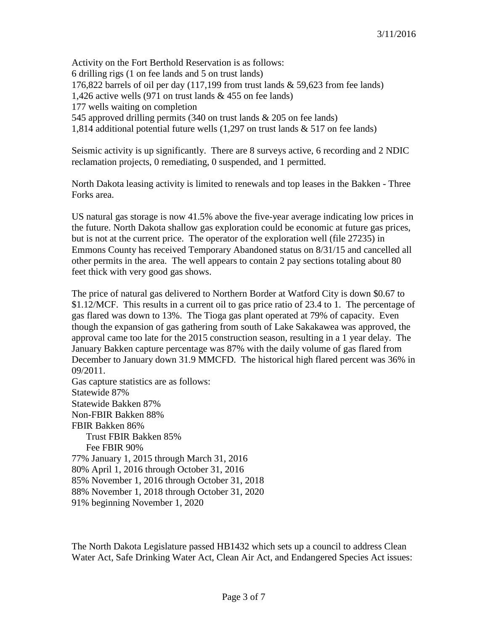Activity on the Fort Berthold Reservation is as follows: 6 drilling rigs (1 on fee lands and 5 on trust lands) 176,822 barrels of oil per day (117,199 from trust lands & 59,623 from fee lands) 1,426 active wells (971 on trust lands & 455 on fee lands) 177 wells waiting on completion 545 approved drilling permits (340 on trust lands & 205 on fee lands) 1,814 additional potential future wells (1,297 on trust lands & 517 on fee lands)

Seismic activity is up significantly. There are 8 surveys active, 6 recording and 2 NDIC reclamation projects, 0 remediating, 0 suspended, and 1 permitted.

North Dakota leasing activity is limited to renewals and top leases in the Bakken - Three Forks area.

US natural gas storage is now 41.5% above the five-year average indicating low prices in the future. North Dakota shallow gas exploration could be economic at future gas prices, but is not at the current price. The operator of the exploration well (file 27235) in Emmons County has received Temporary Abandoned status on 8/31/15 and cancelled all other permits in the area. The well appears to contain 2 pay sections totaling about 80 feet thick with very good gas shows.

The price of natural gas delivered to Northern Border at Watford City is down \$0.67 to \$1.12/MCF. This results in a current oil to gas price ratio of 23.4 to 1. The percentage of gas flared was down to 13%. The Tioga gas plant operated at 79% of capacity. Even though the expansion of gas gathering from south of Lake Sakakawea was approved, the approval came too late for the 2015 construction season, resulting in a 1 year delay. The January Bakken capture percentage was 87% with the daily volume of gas flared from December to January down 31.9 MMCFD. The historical high flared percent was 36% in 09/2011.

Gas capture statistics are as follows: Statewide 87% Statewide Bakken 87% Non-FBIR Bakken 88% FBIR Bakken 86% Trust FBIR Bakken 85% Fee FBIR 90% 77% January 1, 2015 through March 31, 2016 80% April 1, 2016 through October 31, 2016 85% November 1, 2016 through October 31, 2018 88% November 1, 2018 through October 31, 2020 91% beginning November 1, 2020

The North Dakota Legislature passed HB1432 which sets up a council to address Clean Water Act, Safe Drinking Water Act, Clean Air Act, and Endangered Species Act issues: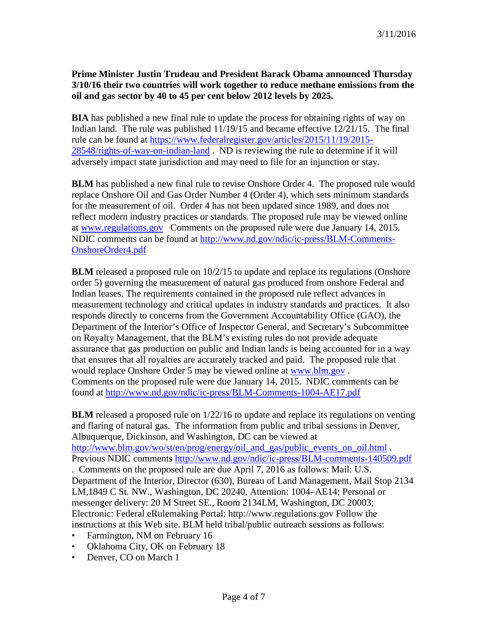#### **Prime Minister Justin Trudeau and President Barack Obama announced Thursday 3/10/16 their two countries will work together to reduce methane emissions from the oil and gas sector by 40 to 45 per cent below 2012 levels by 2025.**

**BIA** has published a new final rule to update the process for obtaining rights of way on Indian land. The rule was published 11/19/15 and became effective 12/21/15. The final rule can be found at [https://www.federalregister.gov/articles/2015/11/19/2015-](https://www.federalregister.gov/articles/2015/11/19/2015-28548/rights-of-way-on-indian-land) [28548/rights-of-way-on-indian-land](https://www.federalregister.gov/articles/2015/11/19/2015-28548/rights-of-way-on-indian-land) . ND is reviewing the rule to determine if it will adversely impact state jurisdiction and may need to file for an injunction or stay.

**BLM** has published a new final rule to revise Onshore Order 4. The proposed rule would replace Onshore Oil and Gas Order Number 4 (Order 4), which sets minimum standards for the measurement of oil. Order 4 has not been updated since 1989, and does not reflect modern industry practices or standards. The proposed rule may be viewed online at [www.regulations.gov](http://www.regulations.gov/) Comments on the proposed rule were due January 14, 2015. NDIC comments can be found at [http://www.nd.gov/ndic/ic-press/BLM-Comments-](http://www.nd.gov/ndic/ic-press/BLM-Comments-OnshoreOrder4.pdf)[OnshoreOrder4.pdf](http://www.nd.gov/ndic/ic-press/BLM-Comments-OnshoreOrder4.pdf)

**BLM** released a proposed rule on  $10/2/15$  to update and replace its regulations (Onshore order 5) governing the measurement of natural gas produced from onshore Federal and Indian leases. The requirements contained in the proposed rule reflect advances in measurement technology and critical updates in industry standards and practices. It also responds directly to concerns from the Government Accountability Office (GAO), the Department of the Interior's Office of Inspector General, and Secretary's Subcommittee on Royalty Management, that the BLM's existing rules do not provide adequate assurance that gas production on public and Indian lands is being accounted for in a way that ensures that all royalties are accurately tracked and paid. The proposed rule that would replace Onshore Order 5 may be viewed online at [www.blm.gov](http://www.blm.gov/) . Comments on the proposed rule were due January 14, 2015. NDIC comments can be found at<http://www.nd.gov/ndic/ic-press/BLM-Comments-1004-AE17.pdf>

**BLM** released a proposed rule on  $1/22/16$  to update and replace its regulations on venting and flaring of natural gas. The information from public and tribal sessions in Denver, Albuquerque, Dickinson, and Washington, DC can be viewed at [http://www.blm.gov/wo/st/en/prog/energy/oil\\_and\\_gas/public\\_events\\_on\\_oil.html](http://www.blm.gov/wo/st/en/prog/energy/oil_and_gas/public_events_on_oil.html). Previous NDIC comments<http://www.nd.gov/ndic/ic-press/BLM-comments-140509.pdf> . Comments on the proposed rule are due April 7, 2016 as follows: Mail: U.S.

Department of the Interior, Director (630), Bureau of Land Management, Mail Stop 2134 LM,1849 C St. NW., Washington, DC 20240, Attention: 1004–AE14; Personal or messenger delivery: 20 M Street SE., Room 2134LM, Washington, DC 20003; Electronic: Federal eRulemaking Portal: http://www.regulations.gov Follow the instructions at this Web site. BLM held tribal/public outreach sessions as follows:

- Farmington, NM on February 16
- Oklahoma City, OK on February 18
- Denver, CO on March 1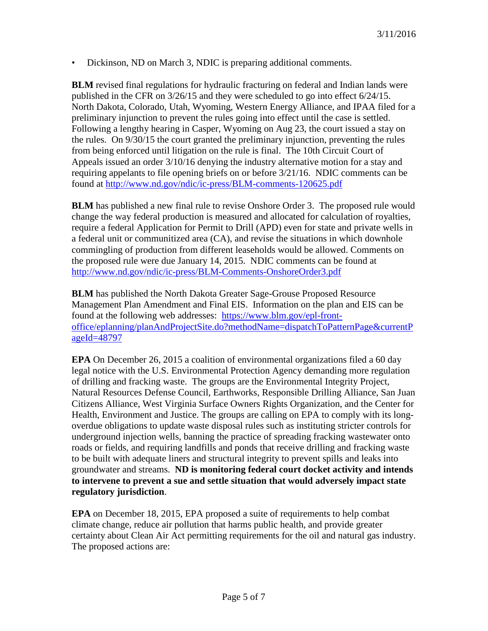• Dickinson, ND on March 3, NDIC is preparing additional comments.

**BLM** revised final regulations for hydraulic fracturing on federal and Indian lands were published in the CFR on 3/26/15 and they were scheduled to go into effect 6/24/15. North Dakota, Colorado, Utah, Wyoming, Western Energy Alliance, and IPAA filed for a preliminary injunction to prevent the rules going into effect until the case is settled. Following a lengthy hearing in Casper, Wyoming on Aug 23, the court issued a stay on the rules. On 9/30/15 the court granted the preliminary injunction, preventing the rules from being enforced until litigation on the rule is final. The 10th Circuit Court of Appeals issued an order 3/10/16 denying the industry alternative motion for a stay and requiring appelants to file opening briefs on or before 3/21/16. NDIC comments can be found at<http://www.nd.gov/ndic/ic-press/BLM-comments-120625.pdf>

**BLM** has published a new final rule to revise Onshore Order 3. The proposed rule would change the way federal production is measured and allocated for calculation of royalties, require a federal Application for Permit to Drill (APD) even for state and private wells in a federal unit or communitized area (CA), and revise the situations in which downhole commingling of production from different leaseholds would be allowed. Comments on the proposed rule were due January 14, 2015. NDIC comments can be found at <http://www.nd.gov/ndic/ic-press/BLM-Comments-OnshoreOrder3.pdf>

**BLM** has published the North Dakota Greater Sage-Grouse Proposed Resource Management Plan Amendment and Final EIS. Information on the plan and EIS can be found at the following web addresses: [https://www.blm.gov/epl-front](https://www.blm.gov/epl-front-office/eplanning/planAndProjectSite.do?methodName=dispatchToPatternPage¤tPageId=48797)[office/eplanning/planAndProjectSite.do?methodName=dispatchToPatternPage&currentP](https://www.blm.gov/epl-front-office/eplanning/planAndProjectSite.do?methodName=dispatchToPatternPage¤tPageId=48797) [ageId=48797](https://www.blm.gov/epl-front-office/eplanning/planAndProjectSite.do?methodName=dispatchToPatternPage¤tPageId=48797)

**EPA** On December 26, 2015 a coalition of environmental organizations filed a 60 day legal notice with the U.S. Environmental Protection Agency demanding more regulation of drilling and fracking waste. The groups are the Environmental Integrity Project, Natural Resources Defense Council, Earthworks, Responsible Drilling Alliance, San Juan Citizens Alliance, West Virginia Surface Owners Rights Organization, and the Center for Health, Environment and Justice. The groups are calling on EPA to comply with its longoverdue obligations to update waste disposal rules such as instituting stricter controls for underground injection wells, banning the practice of spreading fracking wastewater onto roads or fields, and requiring landfills and ponds that receive drilling and fracking waste to be built with adequate liners and structural integrity to prevent spills and leaks into groundwater and streams. **ND is monitoring federal court docket activity and intends to intervene to prevent a sue and settle situation that would adversely impact state regulatory jurisdiction**.

**EPA** on December 18, 2015, EPA proposed a suite of requirements to help combat climate change, reduce air pollution that harms public health, and provide greater certainty about Clean Air Act permitting requirements for the oil and natural gas industry. The proposed actions are: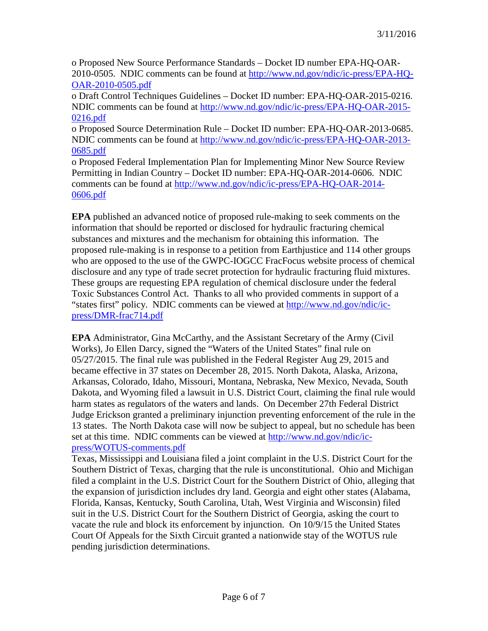o Proposed New Source Performance Standards – Docket ID number EPA-HQ-OAR-2010-0505. NDIC comments can be found at [http://www.nd.gov/ndic/ic-press/EPA-HQ-](http://www.nd.gov/ndic/ic-press/EPA-HQ-OAR-2010-0505.pdf)[OAR-2010-0505.pdf](http://www.nd.gov/ndic/ic-press/EPA-HQ-OAR-2010-0505.pdf)

o Draft Control Techniques Guidelines – Docket ID number: EPA-HQ-OAR-2015-0216. NDIC comments can be found at [http://www.nd.gov/ndic/ic-press/EPA-HQ-OAR-2015-](http://www.nd.gov/ndic/ic-press/EPA-HQ-OAR-2015-0216.pdf) [0216.pdf](http://www.nd.gov/ndic/ic-press/EPA-HQ-OAR-2015-0216.pdf)

o Proposed Source Determination Rule – Docket ID number: EPA-HQ-OAR-2013-0685. NDIC comments can be found at [http://www.nd.gov/ndic/ic-press/EPA-HQ-OAR-2013-](http://www.nd.gov/ndic/ic-press/EPA-HQ-OAR-2013-0685.pdf) [0685.pdf](http://www.nd.gov/ndic/ic-press/EPA-HQ-OAR-2013-0685.pdf)

o Proposed Federal Implementation Plan for Implementing Minor New Source Review Permitting in Indian Country – Docket ID number: EPA-HQ-OAR-2014-0606. NDIC comments can be found at [http://www.nd.gov/ndic/ic-press/EPA-HQ-OAR-2014-](http://www.nd.gov/ndic/ic-press/EPA-HQ-OAR-2014-0606.pdf) [0606.pdf](http://www.nd.gov/ndic/ic-press/EPA-HQ-OAR-2014-0606.pdf)

**EPA** published an advanced notice of proposed rule-making to seek comments on the information that should be reported or disclosed for hydraulic fracturing chemical substances and mixtures and the mechanism for obtaining this information. The proposed rule-making is in response to a petition from Earthjustice and 114 other groups who are opposed to the use of the GWPC-IOGCC FracFocus website process of chemical disclosure and any type of trade secret protection for hydraulic fracturing fluid mixtures. These groups are requesting EPA regulation of chemical disclosure under the federal Toxic Substances Control Act. Thanks to all who provided comments in support of a "states first" policy. NDIC comments can be viewed at [http://www.nd.gov/ndic/ic](http://www.nd.gov/ndic/ic-press/DMR-frac714.pdf)[press/DMR-frac714.pdf](http://www.nd.gov/ndic/ic-press/DMR-frac714.pdf)

**EPA** Administrator, Gina McCarthy, and the Assistant Secretary of the Army (Civil Works), Jo Ellen Darcy, signed the "Waters of the United States" final rule on 05/27/2015. The final rule was published in the Federal Register Aug 29, 2015 and became effective in 37 states on December 28, 2015. North Dakota, Alaska, Arizona, Arkansas, Colorado, Idaho, Missouri, Montana, Nebraska, New Mexico, Nevada, South Dakota, and Wyoming filed a lawsuit in U.S. District Court, claiming the final rule would harm states as regulators of the waters and lands. On December 27th Federal District Judge Erickson granted a preliminary injunction preventing enforcement of the rule in the 13 states. The North Dakota case will now be subject to appeal, but no schedule has been set at this time. NDIC comments can be viewed at [http://www.nd.gov/ndic/ic](http://www.nd.gov/ndic/ic-press/WOTUS-comments.pdf)[press/WOTUS-comments.pdf](http://www.nd.gov/ndic/ic-press/WOTUS-comments.pdf)

Texas, Mississippi and Louisiana filed a joint complaint in the U.S. District Court for the Southern District of Texas, charging that the rule is unconstitutional. Ohio and Michigan filed a complaint in the U.S. District Court for the Southern District of Ohio, alleging that the expansion of jurisdiction includes dry land. Georgia and eight other states (Alabama, Florida, Kansas, Kentucky, South Carolina, Utah, West Virginia and Wisconsin) filed suit in the U.S. District Court for the Southern District of Georgia, asking the court to vacate the rule and block its enforcement by injunction. On 10/9/15 the United States Court Of Appeals for the Sixth Circuit granted a nationwide stay of the WOTUS rule pending jurisdiction determinations.